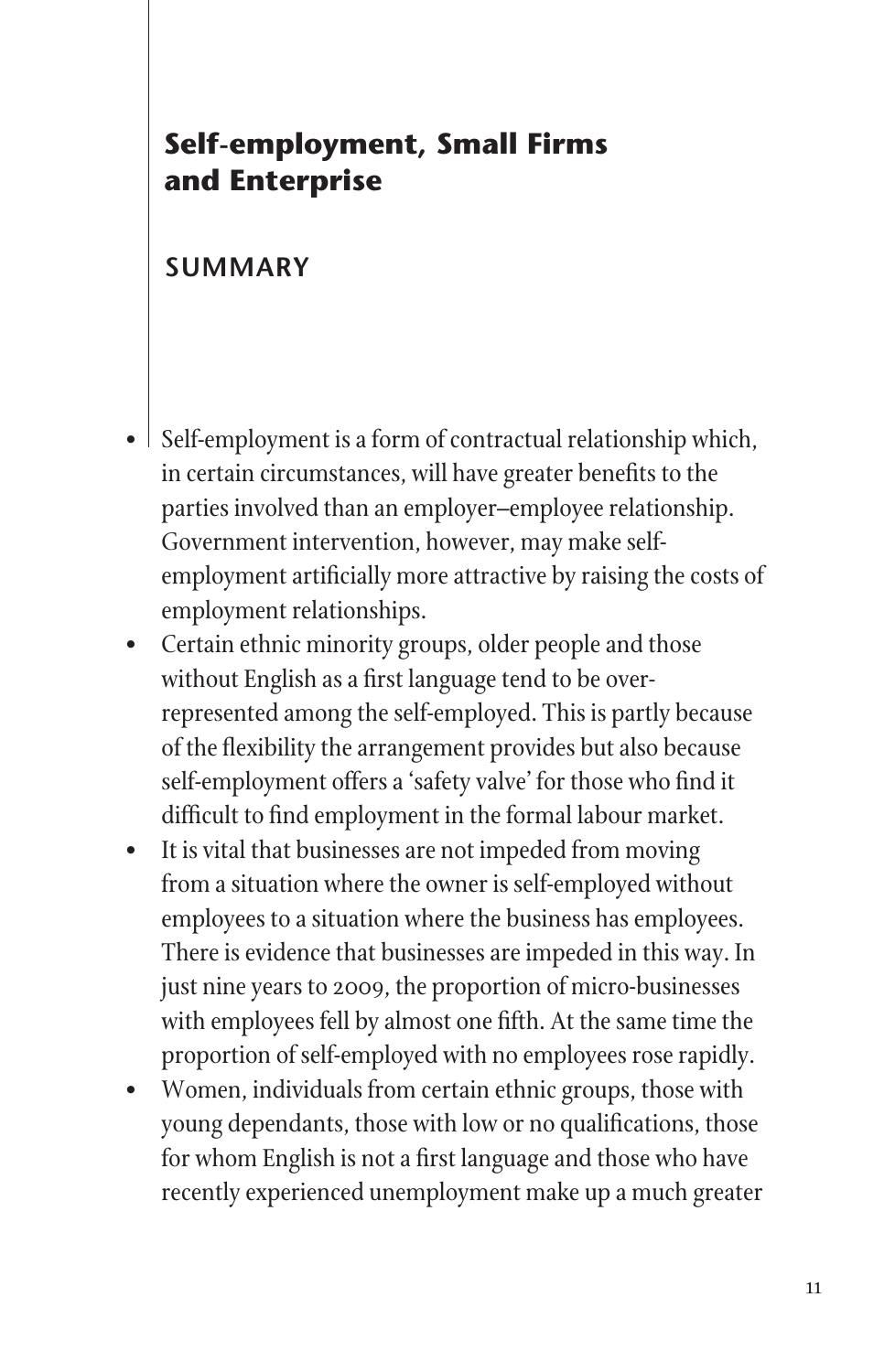## **Self-employment, Small Firms and Enterprise**

## **Summary**

- Self-employment is a form of contractual relationship which, in certain circumstances, will have greater benefits to the parties involved than an employer–employee relationship. Government intervention, however, may make selfemployment artificially more attractive by raising the costs of employment relationships.
- Certain ethnic minority groups, older people and those without English as a first language tend to be overrepresented among the self-employed. This is partly because of the flexibility the arrangement provides but also because self-employment offers a 'safety valve' for those who find it difficult to find employment in the formal labour market.
- • It is vital that businesses are not impeded from moving from a situation where the owner is self-employed without employees to a situation where the business has employees. There is evidence that businesses are impeded in this way. In just nine years to 2009, the proportion of micro-businesses with employees fell by almost one fifth. At the same time the proportion of self-employed with no employees roserapidly.
- • Women, individuals from certain ethnic groups, those with young dependants, those with low or no qualifications, those for whom English is not a first language and those who have recently experienced unemployment make up a much greater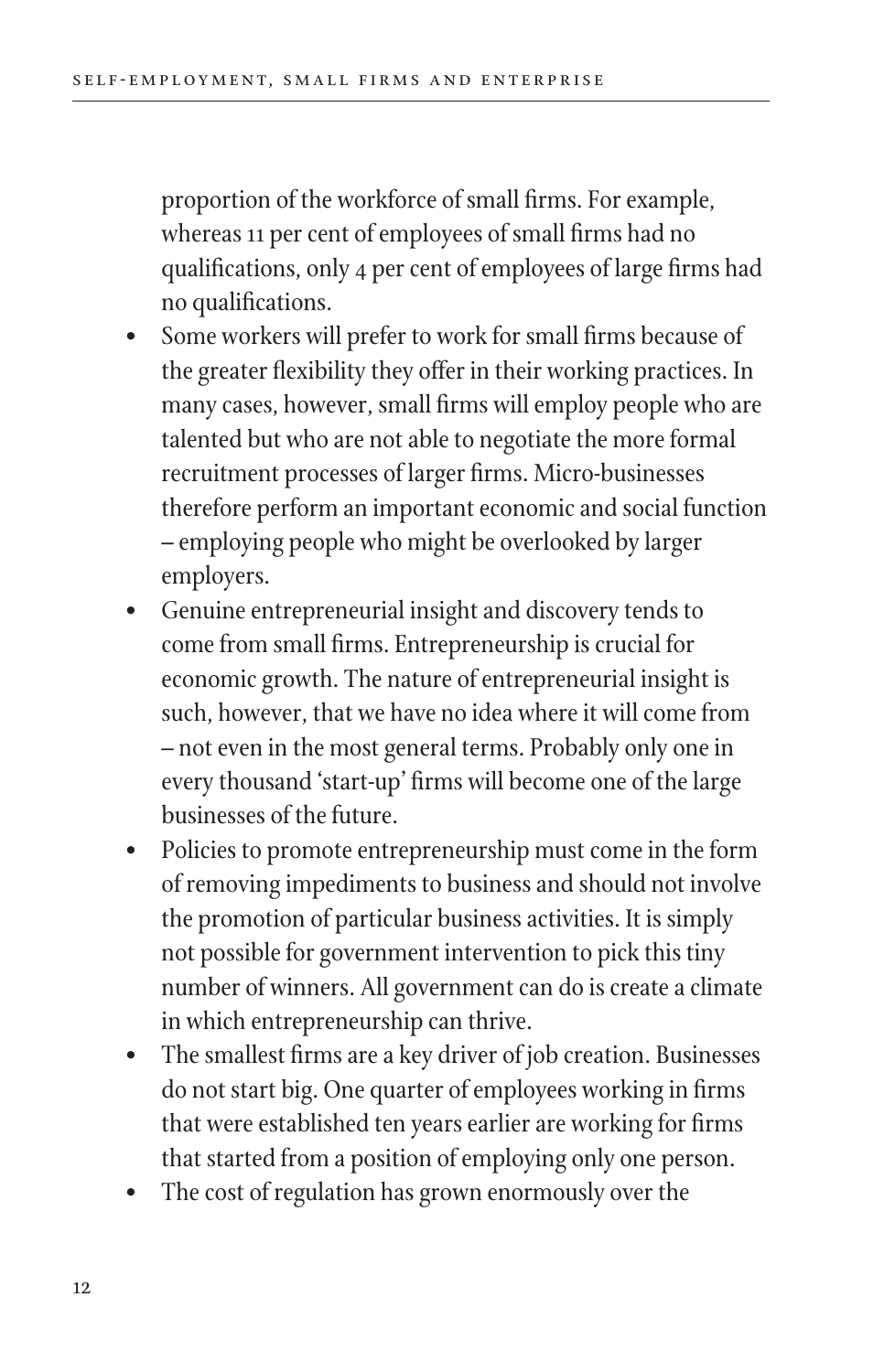proportion of the workforce of small firms. For example, whereas 11 per cent of employees of small firms had no qualifications, only 4 per cent of employees of large firms had no qualifications.

- Some workers will prefer to work for small firms because of the greater flexibility they offer in their working practices. In many cases, however, small firms willemploy people who are talented but who are not able to negotiate the more formal recruitment processes of larger firms. Micro-businesses therefore perform an important economic and social function – employing people who might be overlooked by larger employers.
- Genuine entrepreneurial insight and discovery tends to come from small firms. Entrepreneurship is crucial for economic growth. The nature of entrepreneurial insight is such, however, that we have no idea where it will come from – not even in the most general terms. Probably only one in every thousand 'start-up' firms will become one of the large businesses of the future.
- Policies to promote entrepreneurship must come in the form of removing impediments to business and should not involve the promotion of particular business activities. It is simply not possible for government intervention to pick this tiny number of winners. All government can do is create a climate in which entrepreneurship can thrive.
- The smallest firms are a key driver of job creation. Businesses do not start big. One quarter of employees working in firms that were established ten years earlier are working for firms that started from a position of employing only one person.
- The cost of regulation has grown enormously over the